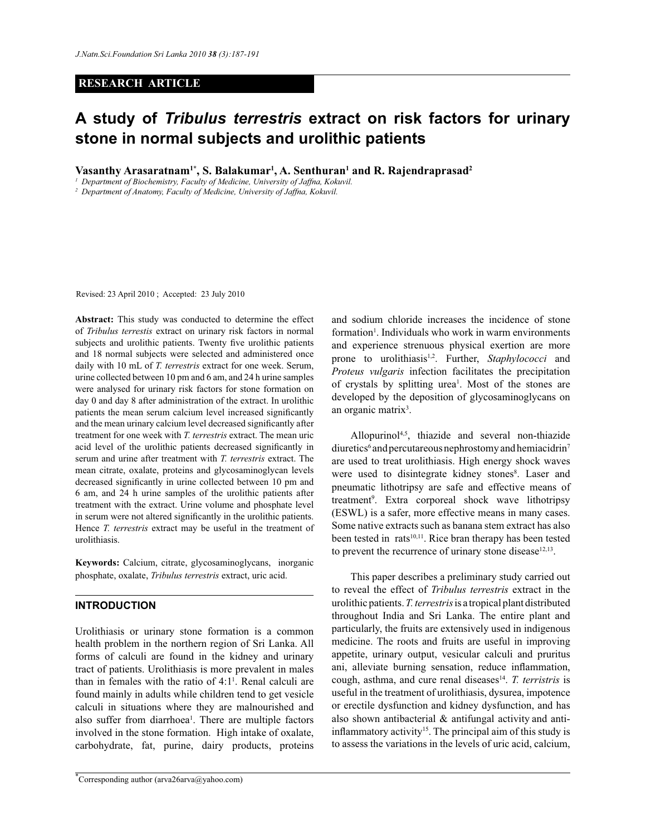#### **RESEARCH ARTICLE**

# **A study of** *Tribulus terrestris* **extract on risk factors for urinary stone in normal subjects and urolithic patients**

**Vasanthy Arasaratnam1\*, S. Balakumar<sup>1</sup> , A. Senthuran<sup>1</sup> and R. Rajendraprasad<sup>2</sup>**

*<sup>1</sup>Department of Biochemistry, Faculty of Medicine, University of Jaffna, Kokuvil.*

*2 Department of Anatomy, Faculty of Medicine, University of Jaffna, Kokuvil.*

Revised: 23 April 2010 ; Accepted: 23 July 2010

**Abstract:** This study was conducted to determine the effect of *Tribulus terrestis* extract on urinary risk factors in normal subjects and urolithic patients. Twenty five urolithic patients and 18 normal subjects were selected and administered once daily with 10 mL of *T. terrestris* extract for one week. Serum, urine collected between 10 pm and 6 am, and 24 h urine samples were analysed for urinary risk factors for stone formation on day 0 and day 8 after administration of the extract. In urolithic patients the mean serum calcium level increased significantly and the mean urinary calcium level decreased significantly after treatment for one week with *T. terrestris* extract. The mean uric acid level of the urolithic patients decreased significantly in serum and urine after treatment with *T. terrestris* extract. The mean citrate, oxalate, proteins and glycosaminoglycan levels decreased significantly in urine collected between 10 pm and 6 am, and 24 h urine samples of the urolithic patients after treatment with the extract. Urine volume and phosphate level in serum were not altered significantly in the urolithic patients. Hence *T. terrestris* extract may be useful in the treatment of urolithiasis.

**Keywords:** Calcium, citrate, glycosaminoglycans, inorganic phosphate, oxalate, *Tribulus terrestris* extract, uric acid.

#### **INTRODUCTION**

Urolithiasis or urinary stone formation is a common health problem in the northern region of Sri Lanka. All forms of calculi are found in the kidney and urinary tract of patients. Urolithiasis is more prevalent in males than in females with the ratio of  $4:1<sup>1</sup>$ . Renal calculi are found mainly in adults while children tend to get vesicle calculi in situations where they are malnourished and also suffer from diarrhoea<sup>1</sup>. There are multiple factors involved in the stone formation. High intake of oxalate, carbohydrate, fat, purine, dairy products, proteins

\*Corresponding author (arva26arva@yahoo.com)

and sodium chloride increases the incidence of stone formation<sup>1</sup>. Individuals who work in warm environments and experience strenuous physical exertion are more prone to urolithiasis<sup>1,2</sup>. Further, *Staphylococci* and *Proteus vulgaris* infection facilitates the precipitation of crystals by splitting urea<sup>1</sup>. Most of the stones are developed by the deposition of glycosaminoglycans on an organic matrix<sup>3</sup>.

 Allopurinol4,5, thiazide and several non-thiazide diuretics<sup>6</sup> and percutareous nephrostomy and hemiacidrin<sup>7</sup> are used to treat urolithiasis. High energy shock waves were used to disintegrate kidney stones<sup>8</sup>. Laser and pneumatic lithotripsy are safe and effective means of treatment<sup>9</sup>. Extra corporeal shock wave lithotripsy (ESWL) is a safer, more effective means in many cases. Some native extracts such as banana stem extract has also been tested in rats<sup>10,11</sup>. Rice bran therapy has been tested to prevent the recurrence of urinary stone disease $12,13$ .

 This paper describes a preliminary study carried out to reveal the effect of *Tribulus terrestris* extract in the urolithic patients. *T. terrestris* is a tropical plant distributed throughout India and Sri Lanka. The entire plant and particularly, the fruits are extensively used in indigenous medicine. The roots and fruits are useful in improving appetite, urinary output, vesicular calculi and pruritus ani, alleviate burning sensation, reduce inflammation, cough, asthma, and cure renal diseases<sup>14</sup>. T. terristris is useful in the treatment of urolithiasis, dysurea, impotence or erectile dysfunction and kidney dysfunction, and has also shown antibacterial & antifungal activity and antiinflammatory activity<sup>15</sup>. The principal aim of this study is to assess the variations in the levels of uric acid, calcium,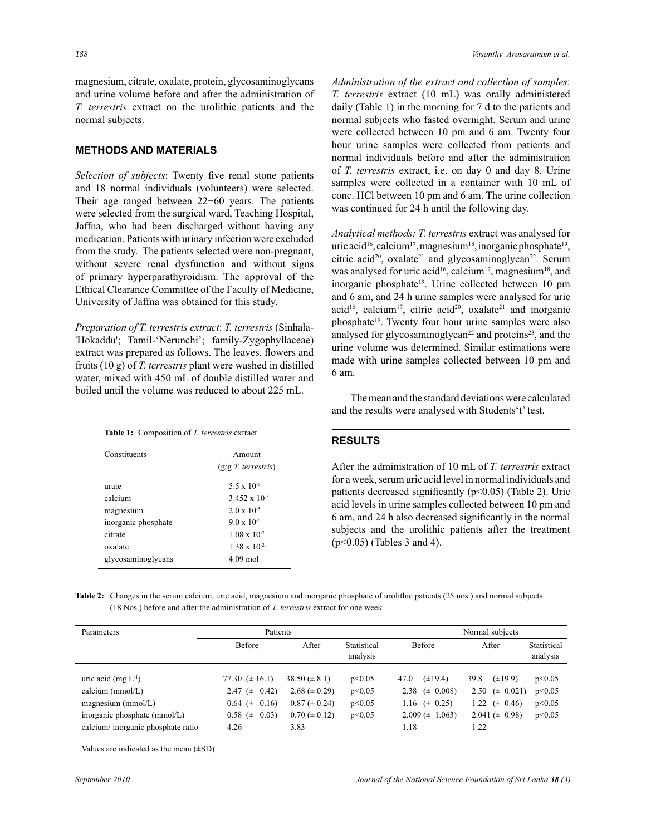magnesium, citrate, oxalate, protein, glycosaminoglycans and urine volume before and after the administration of *T. terrestris* extract on the urolithic patients and the normal subjects.

#### **METHODS AND MATERIALS**

*Selection of subjects*: Twenty five renal stone patients and 18 normal individuals (volunteers) were selected. Their age ranged between 22−60 years. The patients were selected from the surgical ward, Teaching Hospital, Jaffna, who had been discharged without having any medication. Patients with urinary infection were excluded from the study. The patients selected were non-pregnant, without severe renal dysfunction and without signs of primary hyperparathyroidism. The approval of the Ethical Clearance Committee of the Faculty of Medicine, University of Jaffna was obtained for this study.

*Preparation of T. terrestris extract*: *T. terrestris* (Sinhala- 'Hokaddu'; Tamil-'Nerunchi'; family-Zygophyllaceae) extract was prepared as follows. The leaves, flowers and fruits (10 g) of *T. terrestris* plant were washed in distilled water, mixed with 450 mL of double distilled water and boiled until the volume was reduced to about 225 mL.

| Constituents        | Amount                 |
|---------------------|------------------------|
|                     | $(g/g T.$ terrestris)  |
| urate               | 5.5 x 10 <sup>-5</sup> |
| calcium             | $3.452 \times 10^{-3}$ |
| magnesium           | $2.0 \times 10^{-5}$   |
| inorganic phosphate | $9.0 \times 10^{-5}$   |
| citrate             | $1.08 \times 10^{-2}$  |
| oxalate             | $1.38 \times 10^{-2}$  |
| glycosaminoglycans  | $4.09$ mol             |

*Administration of the extract and collection of samples*: *T. terrestris* extract (10 mL) was orally administered daily (Table 1) in the morning for 7 d to the patients and normal subjects who fasted overnight. Serum and urine were collected between 10 pm and 6 am. Twenty four hour urine samples were collected from patients and normal individuals before and after the administration of *T. terrestris* extract, i.e. on day 0 and day 8. Urine samples were collected in a container with 10 mL of conc. HCl between 10 pm and 6 am. The urine collection was continued for 24 h until the following day.

*Analytical methods: T. terrestris* extract was analysed for uric acid<sup>16</sup>, calcium<sup>17</sup>, magnesium<sup>18</sup>, inorganic phosphate<sup>19</sup>, citric acid<sup>20</sup>, oxalate<sup>21</sup> and glycosaminoglycan<sup>22</sup>. Serum was analysed for uric acid<sup>16</sup>, calcium<sup>17</sup>, magnesium<sup>18</sup>, and inorganic phosphate<sup>19</sup>. Urine collected between 10 pm and 6 am, and 24 h urine samples were analysed for uric acid<sup>16</sup>, calcium<sup>17</sup>, citric acid<sup>20</sup>, oxalate<sup>21</sup> and inorganic phosphate<sup>19</sup>. Twenty four hour urine samples were also analysed for glycosaminoglycan<sup>22</sup> and proteins<sup>23</sup>, and the urine volume was determined. Similar estimations were made with urine samples collected between 10 pm and 6 am.

 The mean and the standard deviations were calculated and the results were analysed with Students't' test.

#### **RESULTS**

After the administration of 10 mL of *T. terrestris* extract for a week, serum uric acid level in normal individuals and patients decreased significantly  $(p<0.05)$  (Table 2). Uric acid levels in urine samples collected between 10 pm and 6 am, and 24 h also decreased significantly in the normal subjects and the urolithic patients after the treatment (p<0.05) (Tables 3 and 4).

**Table 2:** Changes in the serum calcium, uric acid, magnesium and inorganic phosphate of urolithic patients (25 nos.) and normal subjects (18 Nos.) before and after the administration of *T. terrestris* extract for one week

| Parameters                        | Patients              |                     |                         | Normal subjects         |                      |                         |  |
|-----------------------------------|-----------------------|---------------------|-------------------------|-------------------------|----------------------|-------------------------|--|
|                                   | Before                | After               | Statistical<br>analysis | Before                  | After                | Statistical<br>analysis |  |
| uric acid (mg $L^{-1}$ )          | 77.30 $(\pm 16.1)$    | $38.50 \ (\pm 8.1)$ | p<0.05                  | $(\pm 19.4)$<br>47.0    | 39.8<br>$(\pm 19.9)$ | p<0.05                  |  |
| calcium ( $mmol/L$ )              | 2.47 $(\pm 0.42)$     | $2.68 \ (\pm 0.29)$ | p<0.05                  | $(\pm 0.008)$<br>2.38   | 2.50 ( $\pm$ 0.021)  | p<0.05                  |  |
| magnesium $(mmol/L)$              | $0.64 \ (\pm \ 0.16)$ | $0.87 (\pm 0.24)$   | p<0.05                  | $(\pm 0.25)$<br>1.16    | 1.22 $(\pm 0.46)$    | p<0.05                  |  |
| inorganic phosphate (mmol/L)      | $0.58 \ (\pm \ 0.03)$ | $0.70 \ (\pm 0.12)$ | p<0.05                  | $2.009 \ (\pm \ 1.063)$ | $2.041 \ (\pm 0.98)$ | p<0.05                  |  |
| calcium/inorganic phosphate ratio | 4.26                  | 3.83                |                         | 1.18                    | 1.22                 |                         |  |

Values are indicated as the mean (±SD)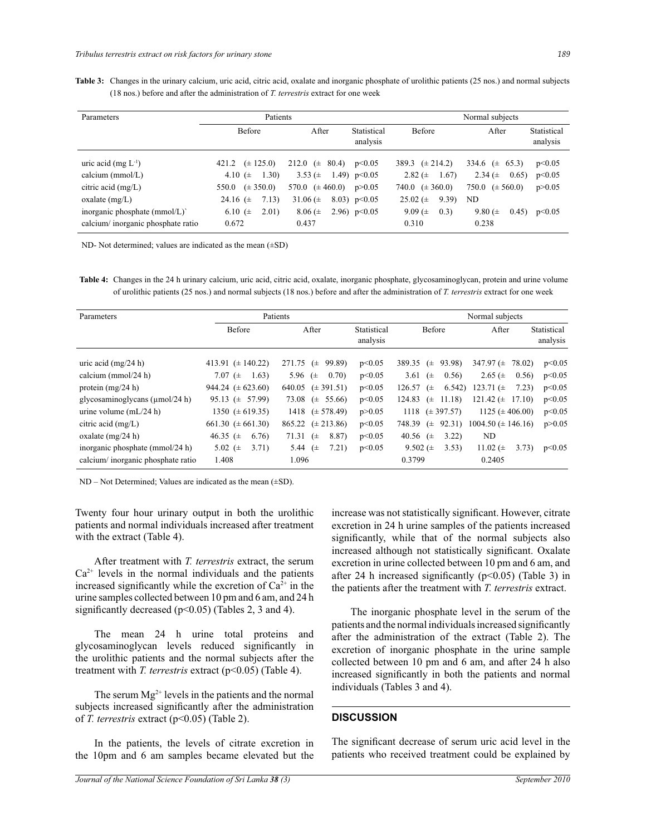**Table 3:** Changes in the urinary calcium, uric acid, citric acid, oxalate and inorganic phosphate of urolithic patients (25 nos.) and normal subjects (18 nos.) before and after the administration of *T. terrestris* extract for one week

| Parameters                        | Patients               |                       |                         | Normal subjects        |                         |                         |  |
|-----------------------------------|------------------------|-----------------------|-------------------------|------------------------|-------------------------|-------------------------|--|
|                                   | <b>Before</b>          | After                 | Statistical<br>analysis | <b>Before</b>          | After                   | Statistical<br>analysis |  |
| uric acid (mg $L^{-1}$ )          | $(\pm 125.0)$<br>421.2 | 80.4)<br>212.0 $(\pm$ | p<0.05                  | 389.3 $(\pm 214.2)$    | 334.6 $(\pm$<br>65.3)   | p<0.05                  |  |
| calcium (mmol/L)                  | 1.30)<br>4.10 $(\pm$   | 3.53 $(\pm$           | 1.49) $p<0.05$          | 2.82 ( $\pm$<br>1.67)  | 2.34 $(\pm$<br>0.65)    | p<0.05                  |  |
| citric acid $(mg/L)$              | $(\pm 350.0)$<br>550.0 | 570.0 $(\pm 460.0)$   | p > 0.05                | $(\pm 360.0)$<br>740.0 | $750.0 \ (\pm 560.0)$   | p > 0.05                |  |
| oxalate $(mg/L)$                  | 7.13)<br>24.16 $(\pm$  | 31.06 $(\pm$          | 8.03) $p<0.05$          | 9.39)<br>25.02 $(\pm$  | ND                      |                         |  |
| inorganic phosphate (mmol/L)      | 6.10 $(\pm$<br>2.01)   | $8.06 (\pm$           | 2.96) $p<0.05$          | 9.09 $(\pm$<br>(0.3)   | 9.80 ( $\pm$ )<br>0.45) | p<0.05                  |  |
| calcium/inorganic phosphate ratio | 0.672                  | 0.437                 |                         | 0.310                  | 0.238                   |                         |  |

ND- Not determined; values are indicated as the mean (±SD)

**Table 4:** Changes in the 24 h urinary calcium, uric acid, citric acid, oxalate, inorganic phosphate, glycosaminoglycan, protein and urine volume of urolithic patients (25 nos.) and normal subjects (18 nos.) before and after the administration of *T. terrestris* extract for one week

| Parameters                           | Patients                |                            |                         | Normal subjects            |                          |                         |  |  |
|--------------------------------------|-------------------------|----------------------------|-------------------------|----------------------------|--------------------------|-------------------------|--|--|
|                                      | Before                  | After                      | Statistical<br>analysis | Before                     | After                    | Statistical<br>analysis |  |  |
| uric acid $(mg/24 h)$                | 413.91 $(\pm 140.22)$   | 271.75<br>99.89)<br>$(\pm$ | p<0.05                  | 93.98)<br>389.35<br>$(\pm$ | 347.97 $(\pm$<br>78.02)  | p<0.05                  |  |  |
| calcium (mmol/24 h)                  | 7.07 $(\pm$<br>1.63)    | 5.96 $(\pm$<br>0.70)       | p<0.05                  | 3.61<br>0.56)<br>$(\pm$    | 2.65 ( $\pm$<br>0.56)    | p<0.05                  |  |  |
| protein $(mg/24 h)$                  | 944.24 $(\pm 623.60)$   | 640.05 $(\pm 391.51)$      | p<0.05                  | 6.542)<br>126.57<br>$(\pm$ | 123.71 $(\pm$<br>7.23)   | p<0.05                  |  |  |
| glycosaminoglycans ( $\mu$ mol/24 h) | $95.13 \pm 57.99$       | 73.08<br>$(\pm 55.66)$     | p<0.05                  | 11.18)<br>124.83<br>$(\pm$ | 121.42 $(\pm$<br>17.10)  | p<0.05                  |  |  |
| urine volume $(mL/24 h)$             | 1350 $(\pm 619.35)$     | 1418 $(\pm 578.49)$        | p > 0.05                | $(\pm 397.57)$<br>1118     | $1125 (\pm 406.00)$      | p<0.05                  |  |  |
| citric acid $(mg/L)$                 | 661.30 $(\pm 661.30)$   | $(\pm 213.86)$<br>865.22   | p<0.05                  | 92.31)<br>748.39<br>$(\pm$ | $1004.50 \ (\pm 146.16)$ | p > 0.05                |  |  |
| oxalate $(mg/24 h)$                  | 46.35 ( $\pm$<br>6.76)  | 71.31<br>8.87)<br>$(\pm$   | p<0.05                  | 40.56 $(\pm$<br>3.22       | ND                       |                         |  |  |
| inorganic phosphate (mmol/24 h)      | 5.02 ( $\pm$ )<br>3.71) | 5.44<br>7.21)<br>$(\pm$    | p<0.05                  | 9.502 ( $\pm$ )<br>3.53)   | 11.02 $(\pm$<br>3.73)    | p<0.05                  |  |  |
| calcium/inorganic phosphate ratio    | 1.408                   | 1.096                      |                         | 0.3799                     | 0.2405                   |                         |  |  |

ND – Not Determined; Values are indicated as the mean (±SD).

Twenty four hour urinary output in both the urolithic patients and normal individuals increased after treatment with the extract (Table 4).

 After treatment with *T. terrestris* extract, the serum  $Ca<sup>2+</sup>$  levels in the normal individuals and the patients increased significantly while the excretion of  $Ca^{2+}$  in the urine samples collected between 10 pm and 6 am, and 24 h significantly decreased  $(p<0.05)$  (Tables 2, 3 and 4).

 The mean 24 h urine total proteins and glycosaminoglycan levels reduced significantly in the urolithic patients and the normal subjects after the treatment with *T. terrestris* extract (p<0.05) (Table 4).

The serum  $Mg^{2+}$  levels in the patients and the normal subjects increased significantly after the administration of *T. terrestris* extract (p<0.05) (Table 2).

 In the patients, the levels of citrate excretion in the 10pm and 6 am samples became elevated but the increase was not statistically significant. However, citrate excretion in 24 h urine samples of the patients increased significantly, while that of the normal subjects also increased although not statistically significant. Oxalate excretion in urine collected between 10 pm and 6 am, and after 24 h increased significantly ( $p<0.05$ ) (Table 3) in the patients after the treatment with *T. terrestris* extract.

 The inorganic phosphate level in the serum of the patients and the normal individuals increased significantly after the administration of the extract (Table 2). The excretion of inorganic phosphate in the urine sample collected between 10 pm and 6 am, and after 24 h also increased significantly in both the patients and normal individuals (Tables 3 and 4).

#### **DISCUSSION**

The significant decrease of serum uric acid level in the patients who received treatment could be explained by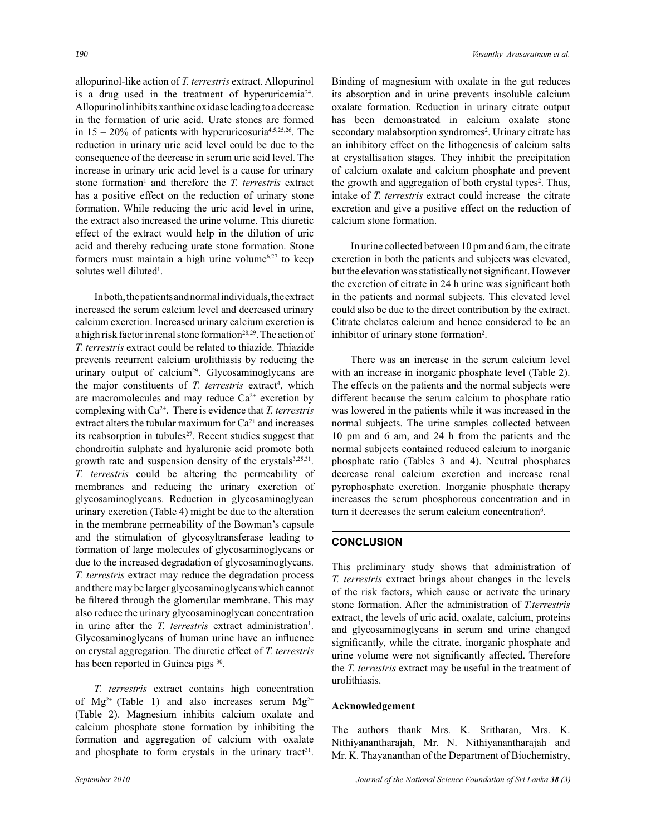allopurinol-like action of *T. terrestris* extract. Allopurinol is a drug used in the treatment of hyperuricemia<sup>24</sup>. Allopurinol inhibits xanthine oxidase leading to a decrease in the formation of uric acid. Urate stones are formed in 15 – 20% of patients with hyperuricosuria4,5,25,26. The reduction in urinary uric acid level could be due to the consequence of the decrease in serum uric acid level. The increase in urinary uric acid level is a cause for urinary stone formation<sup>1</sup> and therefore the *T. terrestris* extract has a positive effect on the reduction of urinary stone formation. While reducing the uric acid level in urine, the extract also increased the urine volume. This diuretic effect of the extract would help in the dilution of uric acid and thereby reducing urate stone formation. Stone formers must maintain a high urine volume $6,27$  to keep solutes well diluted<sup>1</sup>.

 In both, the patients and normal individuals, the extract increased the serum calcium level and decreased urinary calcium excretion. Increased urinary calcium excretion is a high risk factor in renal stone formation<sup>28,29</sup>. The action of *T. terrestris* extract could be related to thiazide. Thiazide prevents recurrent calcium urolithiasis by reducing the urinary output of calcium<sup>29</sup>. Glycosaminoglycans are the major constituents of *T. terrestris* extract<sup>4</sup>, which are macromolecules and may reduce  $Ca^{2+}$  excretion by complexing with Ca2+. There is evidence that *T. terrestris* extract alters the tubular maximum for  $Ca^{2+}$  and increases its reabsorption in tubules<sup>27</sup>. Recent studies suggest that chondroitin sulphate and hyaluronic acid promote both growth rate and suspension density of the crystals<sup>3,25,31</sup>. *T. terrestris* could be altering the permeability of membranes and reducing the urinary excretion of glycosaminoglycans. Reduction in glycosaminoglycan urinary excretion (Table 4) might be due to the alteration in the membrane permeability of the Bowman's capsule and the stimulation of glycosyltransferase leading to formation of large molecules of glycosaminoglycans or due to the increased degradation of glycosaminoglycans. *T. terrestris* extract may reduce the degradation process and there may be larger glycosaminoglycans which cannot be filtered through the glomerular membrane. This may also reduce the urinary glycosaminoglycan concentration in urine after the *T. terrestris* extract administration<sup>1</sup>. Glycosaminoglycans of human urine have an influence on crystal aggregation. The diuretic effect of *T. terrestris* has been reported in Guinea pigs 30.

 *T. terrestris* extract contains high concentration of  $Mg^{2+}$  (Table 1) and also increases serum  $Mg^{2+}$ (Table 2). Magnesium inhibits calcium oxalate and calcium phosphate stone formation by inhibiting the formation and aggregation of calcium with oxalate and phosphate to form crystals in the urinary tract<sup>31</sup>. Binding of magnesium with oxalate in the gut reduces its absorption and in urine prevents insoluble calcium oxalate formation. Reduction in urinary citrate output has been demonstrated in calcium oxalate stone secondary malabsorption syndromes<sup>2</sup>. Urinary citrate has an inhibitory effect on the lithogenesis of calcium salts at crystallisation stages. They inhibit the precipitation of calcium oxalate and calcium phosphate and prevent the growth and aggregation of both crystal types<sup>2</sup>. Thus, intake of *T. terrestris* extract could increase the citrate excretion and give a positive effect on the reduction of calcium stone formation.

 In urine collected between 10 pm and 6 am, the citrate excretion in both the patients and subjects was elevated, but the elevation was statistically not significant. However the excretion of citrate in 24 h urine was significant both in the patients and normal subjects. This elevated level could also be due to the direct contribution by the extract. Citrate chelates calcium and hence considered to be an inhibitor of urinary stone formation<sup>2</sup>.

 There was an increase in the serum calcium level with an increase in inorganic phosphate level (Table 2). The effects on the patients and the normal subjects were different because the serum calcium to phosphate ratio was lowered in the patients while it was increased in the normal subjects. The urine samples collected between 10 pm and 6 am, and 24 h from the patients and the normal subjects contained reduced calcium to inorganic phosphate ratio (Tables 3 and 4). Neutral phosphates decrease renal calcium excretion and increase renal pyrophosphate excretion. Inorganic phosphate therapy increases the serum phosphorous concentration and in turn it decreases the serum calcium concentration<sup>6</sup>.

## **CONCLUSION**

This preliminary study shows that administration of *T. terrestris* extract brings about changes in the levels of the risk factors, which cause or activate the urinary stone formation. After the administration of *T.terrestris*  extract, the levels of uric acid, oxalate, calcium, proteins and glycosaminoglycans in serum and urine changed significantly, while the citrate, inorganic phosphate and urine volume were not significantly affected. Therefore the *T. terrestris* extract may be useful in the treatment of urolithiasis.

## **Acknowledgement**

The authors thank Mrs. K. Sritharan, Mrs. K. Nithiyanantharajah, Mr. N. Nithiyanantharajah and Mr. K. Thayananthan of the Department of Biochemistry,